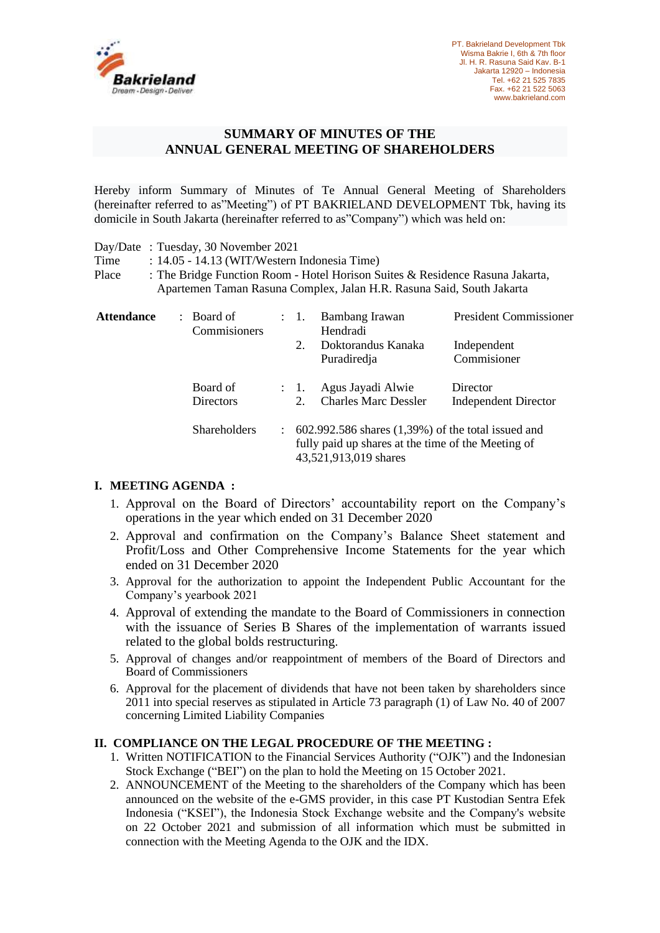

## **SUMMARY OF MINUTES OF THE ANNUAL GENERAL MEETING OF SHAREHOLDERS**

Hereby inform Summary of Minutes of Te Annual General Meeting of Shareholders (hereinafter referred to as"Meeting") of PT BAKRIELAND DEVELOPMENT Tbk, having its domicile in South Jakarta (hereinafter referred to as"Company") which was held on:

|                   | Day/Date: Tuesday, 30 November 2021          |                 |                                                                                                                                                        |                               |  |
|-------------------|----------------------------------------------|-----------------|--------------------------------------------------------------------------------------------------------------------------------------------------------|-------------------------------|--|
| Time              | : 14.05 - 14.13 (WIT/Western Indonesia Time) |                 |                                                                                                                                                        |                               |  |
| Place             |                                              |                 | : The Bridge Function Room - Hotel Horison Suites & Residence Rasuna Jakarta,<br>Apartemen Taman Rasuna Complex, Jalan H.R. Rasuna Said, South Jakarta |                               |  |
| <b>Attendance</b> | : Board of<br>Commisioners                   | $\therefore$ 1. | Bambang Irawan<br>Hendradi                                                                                                                             | <b>President Commissioner</b> |  |
|                   |                                              | 2.              | Doktorandus Kanaka<br>Puradiredja                                                                                                                      | Independent<br>Commisioner    |  |
|                   | Board of                                     | : 1.            | Agus Jayadi Alwie                                                                                                                                      | Director                      |  |
|                   | <b>Directors</b>                             | 2.              | <b>Charles Marc Dessler</b>                                                                                                                            | <b>Independent Director</b>   |  |
|                   | <b>Shareholders</b>                          |                 | $\therefore$ 602.992.586 shares (1,39%) of the total issued and<br>fully paid up shares at the time of the Meeting of<br>43,521,913,019 shares         |                               |  |

## **I. MEETING AGENDA :**

- 1. Approval on the Board of Directors' accountability report on the Company's operations in the year which ended on 31 December 2020
- 2. Approval and confirmation on the Company's Balance Sheet statement and Profit/Loss and Other Comprehensive Income Statements for the year which ended on 31 December 2020
- 3. Approval for the authorization to appoint the Independent Public Accountant for the Company's yearbook 2021
- 4. Approval of extending the mandate to the Board of Commissioners in connection with the issuance of Series B Shares of the implementation of warrants issued related to the global bolds restructuring.
- 5. Approval of changes and/or reappointment of members of the Board of Directors and Board of Commissioners
- 6. Approval for the placement of dividends that have not been taken by shareholders since 2011 into special reserves as stipulated in Article 73 paragraph (1) of Law No. 40 of 2007 concerning Limited Liability Companies

## **II. COMPLIANCE ON THE LEGAL PROCEDURE OF THE MEETING :**

- 1. Written NOTIFICATION to the Financial Services Authority ("OJK") and the Indonesian Stock Exchange ("BEI") on the plan to hold the Meeting on 15 October 2021.
- 2. ANNOUNCEMENT of the Meeting to the shareholders of the Company which has been announced on the website of the e-GMS provider, in this case PT Kustodian Sentra Efek Indonesia ("KSEI"), the Indonesia Stock Exchange website and the Company's website on 22 October 2021 and submission of all information which must be submitted in connection with the Meeting Agenda to the OJK and the IDX.